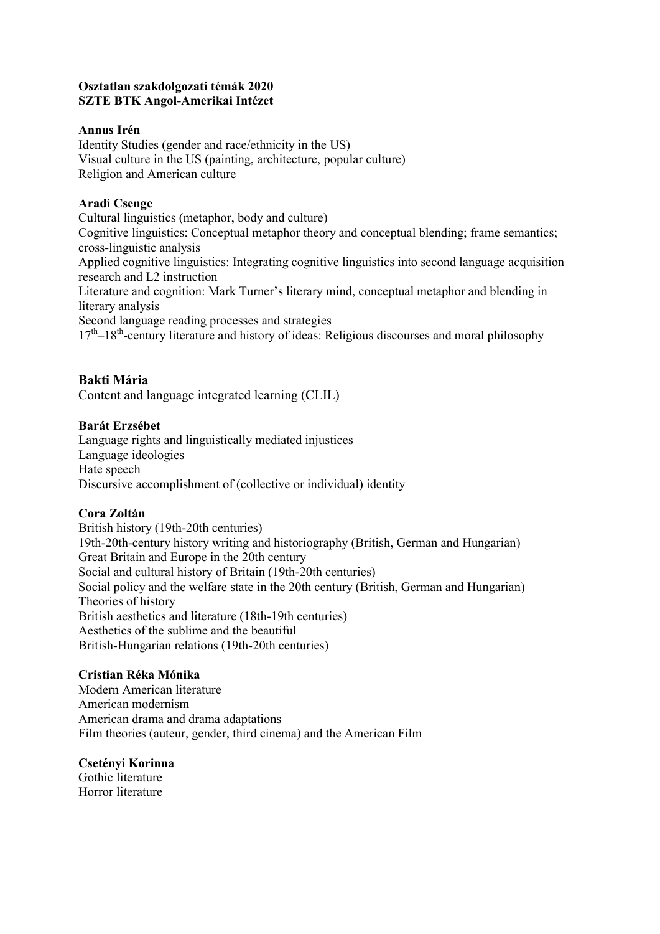#### **Osztatlan szakdolgozati témák 2020 SZTE BTK Angol-Amerikai Intézet**

### **Annus Irén**

Identity Studies (gender and race/ethnicity in the US) Visual culture in the US (painting, architecture, popular culture) Religion and American culture

# **Aradi Csenge**

Cultural linguistics (metaphor, body and culture) Cognitive linguistics: Conceptual metaphor theory and conceptual blending; frame semantics; cross-linguistic analysis Applied cognitive linguistics: Integrating cognitive linguistics into second language acquisition research and L2 instruction Literature and cognition: Mark Turner's literary mind, conceptual metaphor and blending in literary analysis Second language reading processes and strategies 17<sup>th</sup>-18<sup>th</sup>-century literature and history of ideas: Religious discourses and moral philosophy

# **Bakti Mária**

Content and language integrated learning (CLIL)

# **Barát Erzsébet**

Language rights and linguistically mediated injustices Language ideologies Hate speech Discursive accomplishment of (collective or individual) identity

### **Cora Zoltán**

British history (19th-20th centuries) 19th-20th-century history writing and historiography (British, German and Hungarian) Great Britain and Europe in the 20th century Social and cultural history of Britain (19th-20th centuries) Social policy and the welfare state in the 20th century (British, German and Hungarian) Theories of history British aesthetics and literature (18th-19th centuries) Aesthetics of the sublime and the beautiful British-Hungarian relations (19th-20th centuries)

## **Cristian Réka Mónika**

Modern American literature American modernism American drama and drama adaptations Film theories (auteur, gender, third cinema) and the American Film

### **Csetényi Korinna**

Gothic literature Horror literature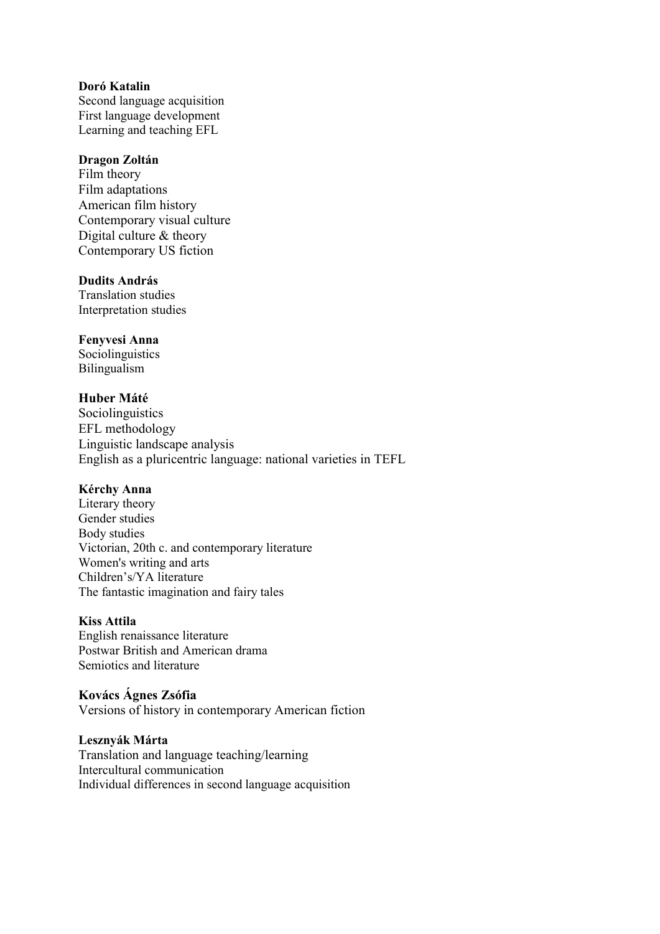## **Doró Katalin**

Second language acquisition First language development Learning and teaching EFL

#### **Dragon Zoltán**

Film theory Film adaptations American film history Contemporary visual culture Digital culture & theory Contemporary US fiction

### **Dudits András**

Translation studies Interpretation studies

#### **Fenyvesi Anna**

Sociolinguistics Bilingualism

### **Huber Máté**

**Sociolinguistics** EFL methodology Linguistic landscape analysis English as a pluricentric language: national varieties in TEFL

### **Kérchy Anna**

Literary theory Gender studies Body studies Victorian, 20th c. and contemporary literature Women's writing and arts Children's/YA literature The fantastic imagination and fairy tales

### **Kiss Attila**

English renaissance literature Postwar British and American drama Semiotics and literature

### **Kovács Ágnes Zsófia**

Versions of history in contemporary American fiction

#### **Lesznyák Márta**

Translation and language teaching/learning Intercultural communication Individual differences in second language acquisition